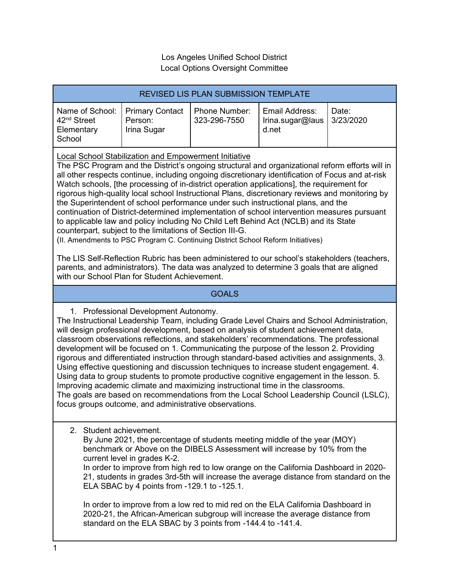## Los Angeles Unified School District Local Options Oversight Committee

| <b>REVISED LIS PLAN SUBMISSION TEMPLATE</b>                                                                                                                                                                                                                         |                                                  |                               |                                             |                    |
|---------------------------------------------------------------------------------------------------------------------------------------------------------------------------------------------------------------------------------------------------------------------|--------------------------------------------------|-------------------------------|---------------------------------------------|--------------------|
| Name of School:<br>42 <sup>nd</sup> Street<br>Elementary<br>School                                                                                                                                                                                                  | <b>Primary Contact</b><br>Person:<br>Irina Sugar | Phone Number:<br>323-296-7550 | Email Address:<br>Irina.sugar@laus<br>d.net | Date:<br>3/23/2020 |
| <b>Local School Stabilization and Empowerment Initiative</b><br>The PSC Program and the District's ongoing structural and organizational reform efforts will in<br>all other respects continue, including ongoing discretionary identification of Focus and at-risk |                                                  |                               |                                             |                    |

Watch schools, [the processing of in-district operation applications], the requirement for rigorous high-quality local school Instructional Plans, discretionary reviews and monitoring by the Superintendent of school performance under such instructional plans, and the continuation of District-determined implementation of school intervention measures pursuant to applicable law and policy including No Child Left Behind Act (NCLB) and its State counterpart, subject to the limitations of Section III-G.

(II. Amendments to PSC Program C. Continuing District School Reform Initiatives)

The LIS Self-Reflection Rubric has been administered to our school's stakeholders (teachers, parents, and administrators). The data was analyzed to determine 3 goals that are aligned with our School Plan for Student Achievement.

# **GOALS**

1. Professional Development Autonomy.

The Instructional Leadership Team, including Grade Level Chairs and School Administration, will design professional development, based on analysis of student achievement data, classroom observations reflections, and stakeholders' recommendations. The professional development will be focused on 1. Communicating the purpose of the lesson 2. Providing rigorous and differentiated instruction through standard-based activities and assignments, 3. Using effective questioning and discussion techniques to increase student engagement. 4. Using data to group students to promote productive cognitive engagement in the lesson. 5. Improving academic climate and maximizing instructional time in the classrooms. The goals are based on recommendations from the Local School Leadership Council (LSLC), focus groups outcome, and administrative observations.

2. Student achievement.

By June 2021, the percentage of students meeting middle of the year (MOY) benchmark or Above on the DIBELS Assessment will increase by 10% from the current level in grades K-2.

In order to improve from high red to low orange on the California Dashboard in 2020- 21, students in grades 3rd-5th will increase the average distance from standard on the ELA SBAC by 4 points from -129.1 to -125.1.

In order to improve from a low red to mid red on the ELA California Dashboard in 2020-21, the African-American subgroup will increase the average distance from standard on the ELA SBAC by 3 points from -144.4 to -141.4.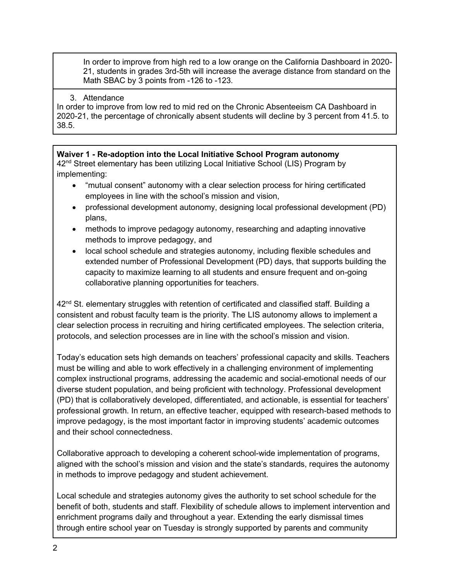In order to improve from high red to a low orange on the California Dashboard in 2020- 21, students in grades 3rd-5th will increase the average distance from standard on the Math SBAC by 3 points from -126 to -123.

### 3. Attendance

In order to improve from low red to mid red on the Chronic Absenteeism CA Dashboard in 2020-21, the percentage of chronically absent students will decline by 3 percent from 41.5. to 38.5.

**Waiver 1 - Re-adoption into the Local Initiative School Program autonomy** 42<sup>nd</sup> Street elementary has been utilizing Local Initiative School (LIS) Program by implementing:

- "mutual consent" autonomy with a clear selection process for hiring certificated employees in line with the school's mission and vision,
- professional development autonomy, designing local professional development (PD) plans,
- methods to improve pedagogy autonomy, researching and adapting innovative methods to improve pedagogy, and
- local school schedule and strategies autonomy, including flexible schedules and extended number of Professional Development (PD) days, that supports building the capacity to maximize learning to all students and ensure frequent and on-going collaborative planning opportunities for teachers.

 $42<sup>nd</sup>$  St. elementary struggles with retention of certificated and classified staff. Building a consistent and robust faculty team is the priority. The LIS autonomy allows to implement a clear selection process in recruiting and hiring certificated employees. The selection criteria, protocols, and selection processes are in line with the school's mission and vision.

Today's education sets high demands on teachers' professional capacity and skills. Teachers must be willing and able to work effectively in a challenging environment of implementing complex instructional programs, addressing the academic and social-emotional needs of our diverse student population, and being proficient with technology. Professional development (PD) that is collaboratively developed, differentiated, and actionable, is essential for teachers' professional growth. In return, an effective teacher, equipped with research-based methods to improve pedagogy, is the most important factor in improving students' academic outcomes and their school connectedness.

Collaborative approach to developing a coherent school-wide implementation of programs, aligned with the school's mission and vision and the state's standards, requires the autonomy in methods to improve pedagogy and student achievement.

Local schedule and strategies autonomy gives the authority to set school schedule for the benefit of both, students and staff. Flexibility of schedule allows to implement intervention and enrichment programs daily and throughout a year. Extending the early dismissal times through entire school year on Tuesday is strongly supported by parents and community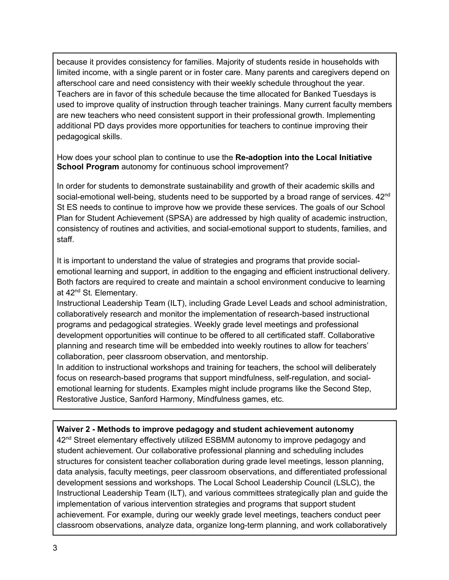because it provides consistency for families. Majority of students reside in households with limited income, with a single parent or in foster care. Many parents and caregivers depend on afterschool care and need consistency with their weekly schedule throughout the year. Teachers are in favor of this schedule because the time allocated for Banked Tuesdays is used to improve quality of instruction through teacher trainings. Many current faculty members are new teachers who need consistent support in their professional growth. Implementing additional PD days provides more opportunities for teachers to continue improving their pedagogical skills.

How does your school plan to continue to use the **Re-adoption into the Local Initiative School Program** autonomy for continuous school improvement?

In order for students to demonstrate sustainability and growth of their academic skills and social-emotional well-being, students need to be supported by a broad range of services. 42<sup>nd</sup> St ES needs to continue to improve how we provide these services. The goals of our School Plan for Student Achievement (SPSA) are addressed by high quality of academic instruction, consistency of routines and activities, and social-emotional support to students, families, and staff.

It is important to understand the value of strategies and programs that provide socialemotional learning and support, in addition to the engaging and efficient instructional delivery. Both factors are required to create and maintain a school environment conducive to learning at 42<sup>nd</sup> St. Elementary.

Instructional Leadership Team (ILT), including Grade Level Leads and school administration, collaboratively research and monitor the implementation of research-based instructional programs and pedagogical strategies. Weekly grade level meetings and professional development opportunities will continue to be offered to all certificated staff. Collaborative planning and research time will be embedded into weekly routines to allow for teachers' collaboration, peer classroom observation, and mentorship.

In addition to instructional workshops and training for teachers, the school will deliberately focus on research-based programs that support mindfulness, self-regulation, and socialemotional learning for students. Examples might include programs like the Second Step, Restorative Justice, Sanford Harmony, Mindfulness games, etc.

### **Waiver 2 - Methods to improve pedagogy and student achievement autonomy**

42<sup>nd</sup> Street elementary effectively utilized ESBMM autonomy to improve pedagogy and student achievement. Our collaborative professional planning and scheduling includes structures for consistent teacher collaboration during grade level meetings, lesson planning, data analysis, faculty meetings, peer classroom observations, and differentiated professional development sessions and workshops. The Local School Leadership Council (LSLC), the Instructional Leadership Team (ILT), and various committees strategically plan and guide the implementation of various intervention strategies and programs that support student achievement. For example, during our weekly grade level meetings, teachers conduct peer classroom observations, analyze data, organize long-term planning, and work collaboratively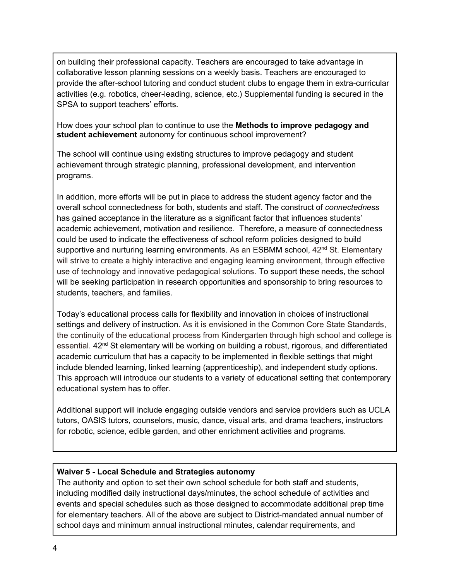on building their professional capacity. Teachers are encouraged to take advantage in collaborative lesson planning sessions on a weekly basis. Teachers are encouraged to provide the after-school tutoring and conduct student clubs to engage them in extra-curricular activities (e.g. robotics, cheer-leading, science, etc.) Supplemental funding is secured in the SPSA to support teachers' efforts.

How does your school plan to continue to use the **Methods to improve pedagogy and student achievement** autonomy for continuous school improvement?

The school will continue using existing structures to improve pedagogy and student achievement through strategic planning, professional development, and intervention programs.

In addition, more efforts will be put in place to address the student agency factor and the overall school connectedness for both, students and staff. The construct of *connectedness* has gained acceptance in the literature as a significant factor that influences students' academic achievement, motivation and resilience. Therefore, a measure of connectedness could be used to indicate the effectiveness of school reform policies designed to build supportive and nurturing learning environments. As an ESBMM school, 42<sup>nd</sup> St. Elementary will strive to create a highly interactive and engaging learning environment, through effective use of technology and innovative pedagogical solutions. To support these needs, the school will be seeking participation in research opportunities and sponsorship to bring resources to students, teachers, and families.

Today's educational process calls for flexibility and innovation in choices of instructional settings and delivery of instruction. As it is envisioned in the Common Core State Standards, the continuity of the educational process from Kindergarten through high school and college is essential. 42<sup>nd</sup> St elementary will be working on building a robust, rigorous, and differentiated academic curriculum that has a capacity to be implemented in flexible settings that might include blended learning, linked learning (apprenticeship), and independent study options. This approach will introduce our students to a variety of educational setting that contemporary educational system has to offer.

Additional support will include engaging outside vendors and service providers such as UCLA tutors, OASIS tutors, counselors, music, dance, visual arts, and drama teachers, instructors for robotic, science, edible garden, and other enrichment activities and programs.

# **Waiver 5 - Local Schedule and Strategies autonomy**

The authority and option to set their own school schedule for both staff and students, including modified daily instructional days/minutes, the school schedule of activities and events and special schedules such as those designed to accommodate additional prep time for elementary teachers. All of the above are subject to District-mandated annual number of school days and minimum annual instructional minutes, calendar requirements, and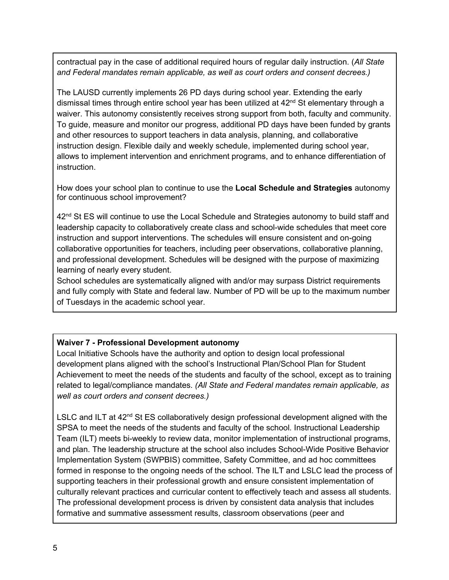contractual pay in the case of additional required hours of regular daily instruction. (*All State and Federal mandates remain applicable, as well as court orders and consent decrees.)*

The LAUSD currently implements 26 PD days during school year. Extending the early dismissal times through entire school year has been utilized at  $42<sup>nd</sup>$  St elementary through a waiver. This autonomy consistently receives strong support from both, faculty and community. To guide, measure and monitor our progress, additional PD days have been funded by grants and other resources to support teachers in data analysis, planning, and collaborative instruction design. Flexible daily and weekly schedule, implemented during school year, allows to implement intervention and enrichment programs, and to enhance differentiation of instruction.

How does your school plan to continue to use the **Local Schedule and Strategies** autonomy for continuous school improvement?

 $42<sup>nd</sup>$  St ES will continue to use the Local Schedule and Strategies autonomy to build staff and leadership capacity to collaboratively create class and school-wide schedules that meet core instruction and support interventions. The schedules will ensure consistent and on-going collaborative opportunities for teachers, including peer observations, collaborative planning, and professional development. Schedules will be designed with the purpose of maximizing learning of nearly every student.

School schedules are systematically aligned with and/or may surpass District requirements and fully comply with State and federal law. Number of PD will be up to the maximum number of Tuesdays in the academic school year.

# **Waiver 7 - Professional Development autonomy**

Local Initiative Schools have the authority and option to design local professional development plans aligned with the school's Instructional Plan/School Plan for Student Achievement to meet the needs of the students and faculty of the school, except as to training related to legal/compliance mandates. *(All State and Federal mandates remain applicable, as well as court orders and consent decrees.)*

LSLC and ILT at  $42<sup>nd</sup>$  St ES collaboratively design professional development aligned with the SPSA to meet the needs of the students and faculty of the school. Instructional Leadership Team (ILT) meets bi-weekly to review data, monitor implementation of instructional programs, and plan. The leadership structure at the school also includes School-Wide Positive Behavior Implementation System (SWPBIS) committee, Safety Committee, and ad hoc committees formed in response to the ongoing needs of the school. The ILT and LSLC lead the process of supporting teachers in their professional growth and ensure consistent implementation of culturally relevant practices and curricular content to effectively teach and assess all students. The professional development process is driven by consistent data analysis that includes formative and summative assessment results, classroom observations (peer and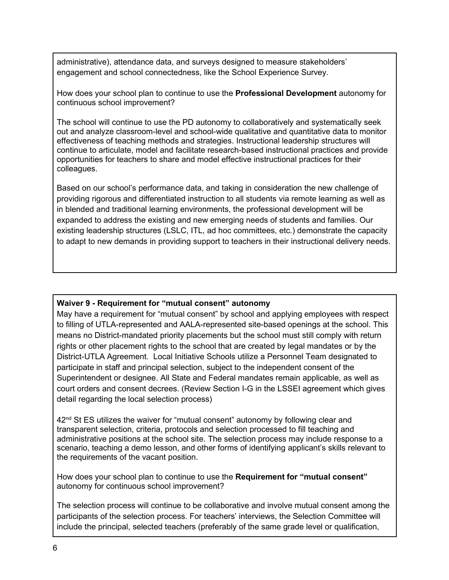administrative), attendance data, and surveys designed to measure stakeholders' engagement and school connectedness, like the School Experience Survey.

How does your school plan to continue to use the **Professional Development** autonomy for continuous school improvement?

The school will continue to use the PD autonomy to collaboratively and systematically seek out and analyze classroom-level and school-wide qualitative and quantitative data to monitor effectiveness of teaching methods and strategies. Instructional leadership structures will continue to articulate, model and facilitate research-based instructional practices and provide opportunities for teachers to share and model effective instructional practices for their colleagues.

Based on our school's performance data, and taking in consideration the new challenge of providing rigorous and differentiated instruction to all students via remote learning as well as in blended and traditional learning environments, the professional development will be expanded to address the existing and new emerging needs of students and families. Our existing leadership structures (LSLC, ITL, ad hoc committees, etc.) demonstrate the capacity to adapt to new demands in providing support to teachers in their instructional delivery needs.

### **Waiver 9 - Requirement for "mutual consent" autonomy**

May have a requirement for "mutual consent" by school and applying employees with respect to filling of UTLA-represented and AALA-represented site-based openings at the school. This means no District-mandated priority placements but the school must still comply with return rights or other placement rights to the school that are created by legal mandates or by the District-UTLA Agreement. Local Initiative Schools utilize a Personnel Team designated to participate in staff and principal selection, subject to the independent consent of the Superintendent or designee. All State and Federal mandates remain applicable, as well as court orders and consent decrees. (Review Section I-G in the LSSEI agreement which gives detail regarding the local selection process)

 $42<sup>nd</sup>$  St ES utilizes the waiver for "mutual consent" autonomy by following clear and transparent selection, criteria, protocols and selection processed to fill teaching and administrative positions at the school site. The selection process may include response to a scenario, teaching a demo lesson, and other forms of identifying applicant's skills relevant to the requirements of the vacant position.

How does your school plan to continue to use the **Requirement for "mutual consent"** autonomy for continuous school improvement?

The selection process will continue to be collaborative and involve mutual consent among the participants of the selection process. For teachers' interviews, the Selection Committee will include the principal, selected teachers (preferably of the same grade level or qualification,